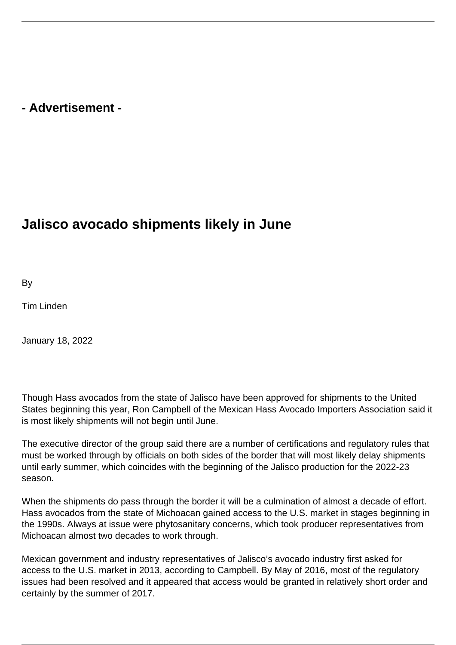## **- Advertisement -**

## **Jalisco avocado shipments likely in June**

By

Tim Linden

January 18, 2022

Though Hass avocados from the state of Jalisco have been approved for shipments to the United States beginning this year, Ron Campbell of the Mexican Hass Avocado Importers Association said it is most likely shipments will not begin until June.

The executive director of the group said there are a number of certifications and regulatory rules that must be worked through by officials on both sides of the border that will most likely delay shipments until early summer, which coincides with the beginning of the Jalisco production for the 2022-23 season.

When the shipments do pass through the border it will be a culmination of almost a decade of effort. Hass avocados from the state of Michoacan gained access to the U.S. market in stages beginning in the 1990s. Always at issue were phytosanitary concerns, which took producer representatives from Michoacan almost two decades to work through.

Mexican government and industry representatives of Jalisco's avocado industry first asked for access to the U.S. market in 2013, according to Campbell. By May of 2016, most of the regulatory issues had been resolved and it appeared that access would be granted in relatively short order and certainly by the summer of 2017.